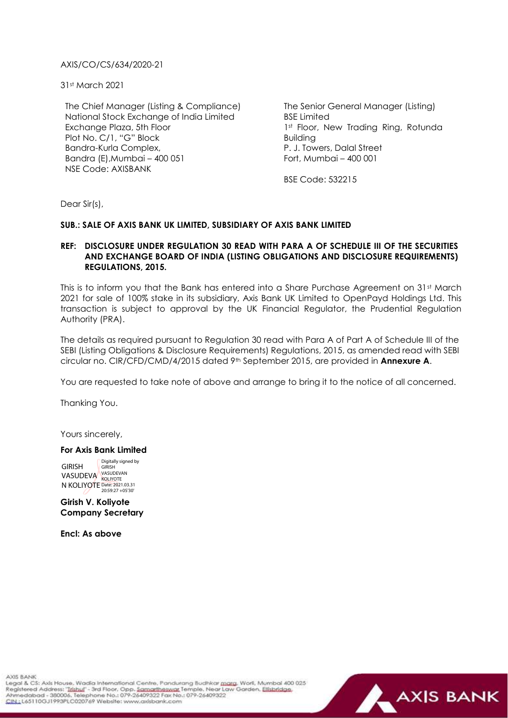## AXIS/CO/CS/634/2020-21

31st March 2021

The Chief Manager (Listing & Compliance) National Stock Exchange of India Limited Exchange Plaza, 5th Floor Plot No. C/1, "G" Block Bandra-Kurla Complex, Bandra (E),Mumbai – 400 051 NSE Code: AXISBANK

The Senior General Manager (Listing) BSE Limited 1st Floor, New Trading Ring, Rotunda Building P. J. Towers, Dalal Street Fort, Mumbai –  $400,001$ 

BSE Code: 532215

Dear Sir(s),

## **SUB.: SALE OF AXIS BANK UK LIMITED, SUBSIDIARY OF AXIS BANK LIMITED**

## **REF: DISCLOSURE UNDER REGULATION 30 READ WITH PARA A OF SCHEDULE III OF THE SECURITIES AND EXCHANGE BOARD OF INDIA (LISTING OBLIGATIONS AND DISCLOSURE REQUIREMENTS) REGULATIONS, 2015.**

This is to inform you that the Bank has entered into a Share Purchase Agreement on 31st March 2021 for sale of 100% stake in its subsidiary, Axis Bank UK Limited to OpenPayd Holdings Ltd. This transaction is subject to approval by the UK Financial Regulator, the Prudential Regulation Authority (PRA).

The details as required pursuant to Regulation 30 read with Para A of Part A of Schedule III of the SEBI (Listing Obligations & Disclosure Requirements) Regulations, 2015, as amended read with SEBI circular no. CIR/CFD/CMD/4/2015 dated 9th September 2015, are provided in **Annexure A**.

You are requested to take note of above and arrange to bring it to the notice of all concerned.

Thanking You.

Yours sincerely,

## **For Axis Bank Limited**

GIRISH VASUDEVA VASUDEVAN N KOLIYOTE Date: 2021.03.31<br>
20:59:27 +05'30' Digitally signed by GIRISH

**Girish V. Koliyote Company Secretary**

**Encl: As above**

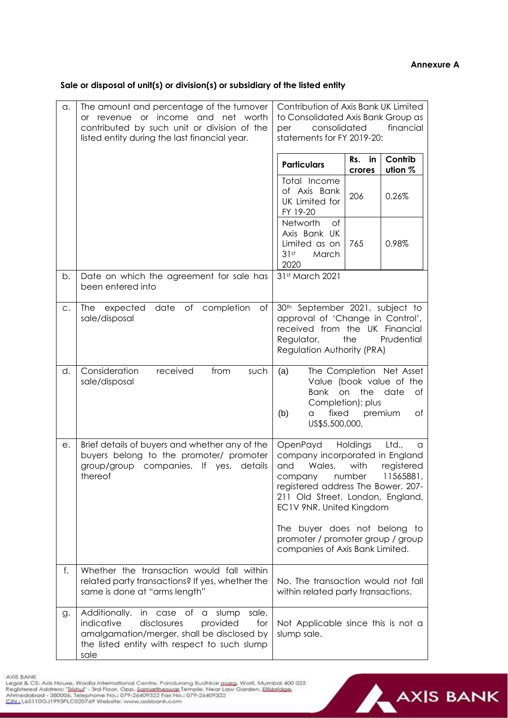**Sale or disposal of unit(s) or division(s) or subsidiary of the listed entity** 

| a. | The amount and percentage of the turnover<br>or revenue or income and net<br>worth<br>contributed by such unit or division of the<br>listed entity during the last financial year.                 | Contribution of Axis Bank UK Limited<br>to Consolidated Axis Bank Group as<br>financial<br>consolidated<br>per<br>statements for FY 2019-20:                                                                                                                                                                          |
|----|----------------------------------------------------------------------------------------------------------------------------------------------------------------------------------------------------|-----------------------------------------------------------------------------------------------------------------------------------------------------------------------------------------------------------------------------------------------------------------------------------------------------------------------|
|    |                                                                                                                                                                                                    | Contrib<br>Rs.<br>in<br><b>Particulars</b><br>ution %<br>crores                                                                                                                                                                                                                                                       |
|    |                                                                                                                                                                                                    | Total Income<br>of Axis Bank<br>206<br>0.26%<br>UK Limited for<br>FY 19-20                                                                                                                                                                                                                                            |
|    |                                                                                                                                                                                                    | Networth<br>of<br>Axis Bank UK<br>Limited as on<br>0.98%<br>765<br>31st<br>March<br>2020                                                                                                                                                                                                                              |
| b. | Date on which the agreement for sale has<br>been entered into                                                                                                                                      | 31st March 2021                                                                                                                                                                                                                                                                                                       |
| C. | expected date of completion<br>Оf<br>The<br>sale/disposal                                                                                                                                          | 30 <sup>th</sup> September 2021, subject to<br>approval of 'Change in Control',<br>received from the UK Financial<br>the<br>Prudential<br>Regulator,<br>Regulation Authority (PRA)                                                                                                                                    |
| d. | Consideration<br>received<br>from<br>such<br>sale/disposal                                                                                                                                         | The Completion Net Asset<br>(a)<br>Value (book value of the<br><b>Bank</b><br>the date<br>on<br>Оf<br>Completion); plus<br>fixed<br>(b)<br>premium<br>Оf<br>a<br>US\$5,500,000,                                                                                                                                       |
| е. | Brief details of buyers and whether any of the<br>buyers belong to the promoter/ promoter<br>group/group companies. If yes,<br>details<br>thereof                                                  | OpenPayd<br>Holdings<br>Ltd.,<br>a<br>company incorporated in England<br>and<br>Wales,<br>with<br>registered<br>11565881<br>company number<br>registered address The Bower, 207-<br>211 Old Street, London, England,<br>EC1V 9NR, United Kingdom<br>The buyer does not belong to<br>promoter / promoter group / group |
|    |                                                                                                                                                                                                    | companies of Axis Bank Limited.                                                                                                                                                                                                                                                                                       |
| f. | Whether the transaction would fall within<br>related party transactions? If yes, whether the<br>same is done at "arms length"                                                                      | No. The transaction would not fall<br>within related party transactions.                                                                                                                                                                                                                                              |
| g. | Additionally, in case of a<br>sale,<br>slump<br>indicative<br>disclosures<br>provided<br>for<br>amalgamation/merger, shall be disclosed by<br>the listed entity with respect to such slump<br>sale | Not Applicable since this is not a<br>slump sale.                                                                                                                                                                                                                                                                     |

AXIS BANK<br>Legal & CS: Axis Hause, Wadia International Centre, Pandurang Budhkar <u>marg</u>, Worli, Mumbal 400 025<br>Registered Address: "<u>Trishul</u>" - 3rd Floor, Opp. <u>Samartheswar,</u> Temple, Near Law Garden, <u>Elishridge,</u><br>Ahmedab